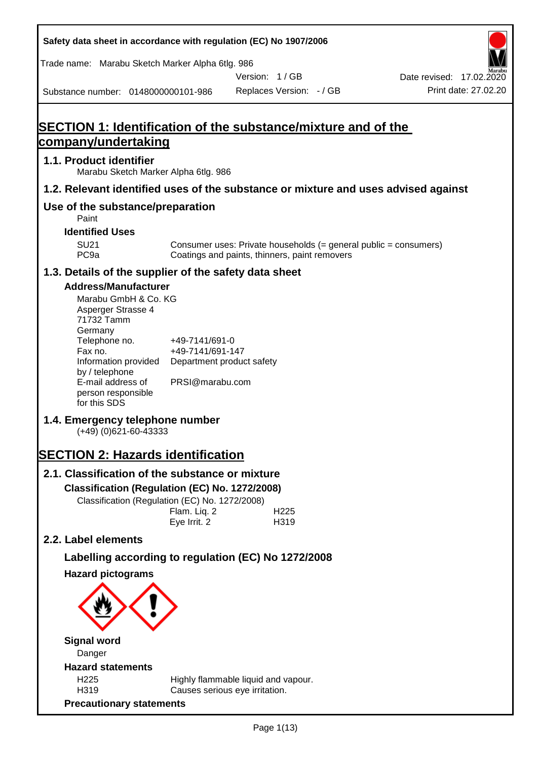**Safety data sheet in accordance with regulation (EC) No 1907/2006** Substance number: 0148000000101-986 Version: 1 / GB Replaces Version: - / GB Print date: 27.02.20 Date revised: 17.02.2020 Trade name: Marabu Sketch Marker Alpha 6tlg. 986 **SECTION 1: Identification of the substance/mixture and of the company/undertaking 1.1. Product identifier** Marabu Sketch Marker Alpha 6tlg. 986 **1.2. Relevant identified uses of the substance or mixture and uses advised against Use of the substance/preparation** Paint **Identified Uses** SU21 Consumer uses: Private households (= general public = consumers)<br>PC9a Coatings and paints, thinners, paint removers Coatings and paints, thinners, paint removers **1.3. Details of the supplier of the safety data sheet Address/Manufacturer** Marabu GmbH & Co. KG Asperger Strasse 4 71732 Tamm **Germany** Telephone no. +49-7141/691-0 Fax no.  $+49-7141/691-147$ Information provided Department product safety by / telephone E-mail address of person responsible for this SDS PRSI@marabu.com **1.4. Emergency telephone number** (+49) (0)621-60-43333 **SECTION 2: Hazards identification 2.1. Classification of the substance or mixture Classification (Regulation (EC) No. 1272/2008)** Classification (Regulation (EC) No. 1272/2008) Flam. Liq. 2 H225 Eye Irrit. 2 H319 **2.2. Label elements Labelling according to regulation (EC) No 1272/2008 Hazard pictograms Signal word** Danger **Hazard statements** H225 Highly flammable liquid and vapour. H319 Causes serious eye irritation. **Precautionary statements**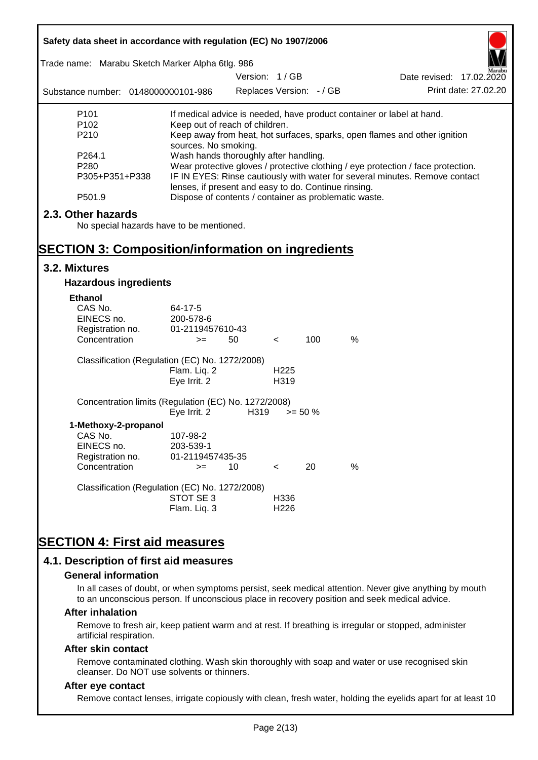| Safety data sheet in accordance with regulation (EC) No 1907/2006<br>Trade name: Marabu Sketch Marker Alpha 6tlg. 986                                                                                                                                                                                                                                                                   |                                                       |                                           |                          |            |      |                                                                             |
|-----------------------------------------------------------------------------------------------------------------------------------------------------------------------------------------------------------------------------------------------------------------------------------------------------------------------------------------------------------------------------------------|-------------------------------------------------------|-------------------------------------------|--------------------------|------------|------|-----------------------------------------------------------------------------|
| Substance number: 0148000000101-986                                                                                                                                                                                                                                                                                                                                                     |                                                       | Version: 1/GB<br>Replaces Version: - / GB |                          |            |      | Date revised: 17.02.2020<br>Print date: 27.02.20                            |
| P <sub>101</sub>                                                                                                                                                                                                                                                                                                                                                                        |                                                       |                                           |                          |            |      |                                                                             |
| If medical advice is needed, have product container or label at hand.<br>P <sub>102</sub><br>Keep out of reach of children.<br>P210<br>Keep away from heat, hot surfaces, sparks, open flames and other ignition<br>sources. No smoking.<br>Wash hands thoroughly after handling.<br>P264.1<br>Wear protective gloves / protective clothing / eye protection / face protection.<br>P280 |                                                       |                                           |                          |            |      |                                                                             |
| P305+P351+P338                                                                                                                                                                                                                                                                                                                                                                          | lenses, if present and easy to do. Continue rinsing.  |                                           |                          |            |      | IF IN EYES: Rinse cautiously with water for several minutes. Remove contact |
| P501.9                                                                                                                                                                                                                                                                                                                                                                                  | Dispose of contents / container as problematic waste. |                                           |                          |            |      |                                                                             |
| 2.3. Other hazards<br>No special hazards have to be mentioned.<br><b>SECTION 3: Composition/information on ingredients</b>                                                                                                                                                                                                                                                              |                                                       |                                           |                          |            |      |                                                                             |
| 3.2. Mixtures                                                                                                                                                                                                                                                                                                                                                                           |                                                       |                                           |                          |            |      |                                                                             |
|                                                                                                                                                                                                                                                                                                                                                                                         |                                                       |                                           |                          |            |      |                                                                             |
| <b>Hazardous ingredients</b>                                                                                                                                                                                                                                                                                                                                                            |                                                       |                                           |                          |            |      |                                                                             |
| <b>Ethanol</b><br>CAS No.<br>EINECS no.<br>Registration no.<br>Concentration                                                                                                                                                                                                                                                                                                            | 64-17-5<br>200-578-6<br>01-2119457610-43<br>$>=$      | 50                                        | $\prec$                  | 100        | %    |                                                                             |
| Classification (Regulation (EC) No. 1272/2008)                                                                                                                                                                                                                                                                                                                                          | Flam. Liq. 2<br>Eye Irrit. 2                          |                                           | H <sub>225</sub><br>H319 |            |      |                                                                             |
| Concentration limits (Regulation (EC) No. 1272/2008)                                                                                                                                                                                                                                                                                                                                    | Eye Irrit. 2                                          | H319                                      |                          | $>= 50 \%$ |      |                                                                             |
| 1-Methoxy-2-propanol<br>CAS No.<br>EINECS no.<br>Registration no.<br>Concentration                                                                                                                                                                                                                                                                                                      | 107-98-2<br>203-539-1<br>01-2119457435-35<br>$>=$     | 10                                        | $\,<\,$                  | 20         | $\%$ |                                                                             |
| Classification (Regulation (EC) No. 1272/2008)                                                                                                                                                                                                                                                                                                                                          | STOT SE3<br>Flam. Liq. 3                              |                                           | H336<br>H226             |            |      |                                                                             |
| <b>SECTION 4: First aid measures</b><br>4.1. Description of first aid measures                                                                                                                                                                                                                                                                                                          |                                                       |                                           |                          |            |      |                                                                             |

#### **General information**

In all cases of doubt, or when symptoms persist, seek medical attention. Never give anything by mouth to an unconscious person. If unconscious place in recovery position and seek medical advice.

#### **After inhalation**

Remove to fresh air, keep patient warm and at rest. If breathing is irregular or stopped, administer artificial respiration.

#### **After skin contact**

Remove contaminated clothing. Wash skin thoroughly with soap and water or use recognised skin cleanser. Do NOT use solvents or thinners.

## **After eye contact**

Remove contact lenses, irrigate copiously with clean, fresh water, holding the eyelids apart for at least 10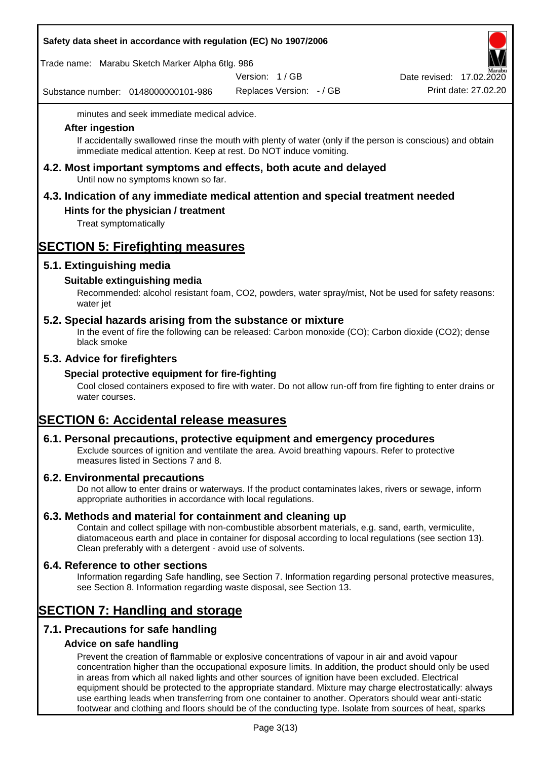|  | Safety data sheet in accordance with regulation (EC) No 1907/2006 |  |
|--|-------------------------------------------------------------------|--|
|--|-------------------------------------------------------------------|--|

Trade name: Marabu Sketch Marker Alpha 6tlg. 986

Version: 1 / GB

Substance number: 0148000000101-986

Replaces Version: - / GB Print date: 27.02.20 Date revised: 17.02.2020

minutes and seek immediate medical advice.

#### **After ingestion**

If accidentally swallowed rinse the mouth with plenty of water (only if the person is conscious) and obtain immediate medical attention. Keep at rest. Do NOT induce vomiting.

**4.2. Most important symptoms and effects, both acute and delayed** Until now no symptoms known so far.

# **4.3. Indication of any immediate medical attention and special treatment needed**

## **Hints for the physician / treatment**

Treat symptomatically

# **SECTION 5: Firefighting measures**

## **5.1. Extinguishing media**

## **Suitable extinguishing media**

Recommended: alcohol resistant foam, CO2, powders, water spray/mist, Not be used for safety reasons: water jet

## **5.2. Special hazards arising from the substance or mixture**

In the event of fire the following can be released: Carbon monoxide (CO); Carbon dioxide (CO2); dense black smoke

## **5.3. Advice for firefighters**

## **Special protective equipment for fire-fighting**

Cool closed containers exposed to fire with water. Do not allow run-off from fire fighting to enter drains or water courses.

# **SECTION 6: Accidental release measures**

## **6.1. Personal precautions, protective equipment and emergency procedures**

Exclude sources of ignition and ventilate the area. Avoid breathing vapours. Refer to protective measures listed in Sections 7 and 8.

## **6.2. Environmental precautions**

Do not allow to enter drains or waterways. If the product contaminates lakes, rivers or sewage, inform appropriate authorities in accordance with local regulations.

## **6.3. Methods and material for containment and cleaning up**

Contain and collect spillage with non-combustible absorbent materials, e.g. sand, earth, vermiculite, diatomaceous earth and place in container for disposal according to local regulations (see section 13). Clean preferably with a detergent - avoid use of solvents.

## **6.4. Reference to other sections**

Information regarding Safe handling, see Section 7. Information regarding personal protective measures, see Section 8. Information regarding waste disposal, see Section 13.

# **SECTION 7: Handling and storage**

# **7.1. Precautions for safe handling**

## **Advice on safe handling**

Prevent the creation of flammable or explosive concentrations of vapour in air and avoid vapour concentration higher than the occupational exposure limits. In addition, the product should only be used in areas from which all naked lights and other sources of ignition have been excluded. Electrical equipment should be protected to the appropriate standard. Mixture may charge electrostatically: always use earthing leads when transferring from one container to another. Operators should wear anti-static footwear and clothing and floors should be of the conducting type. Isolate from sources of heat, sparks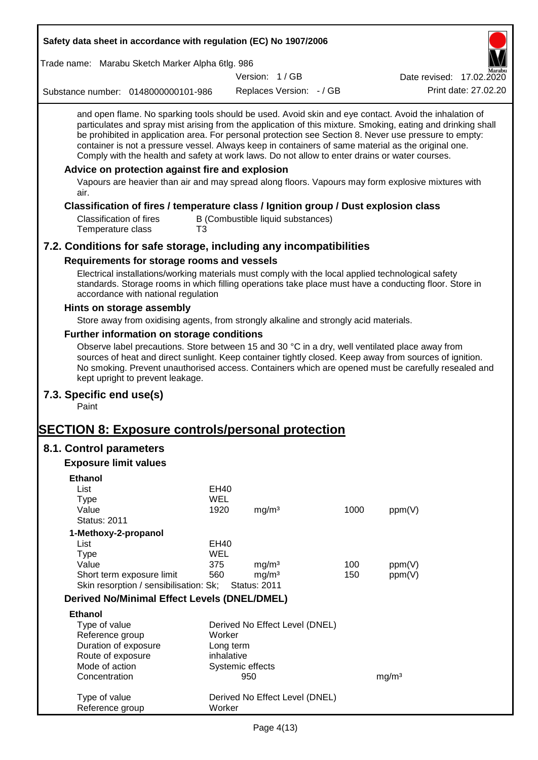| Safety data sheet in accordance with regulation (EC) No 1907/2006                                                                                                                                                                                                                                                                                                                                                                                                                                                                                                                                                                                                                                         |            |                         |                                   |      |                          |                      |
|-----------------------------------------------------------------------------------------------------------------------------------------------------------------------------------------------------------------------------------------------------------------------------------------------------------------------------------------------------------------------------------------------------------------------------------------------------------------------------------------------------------------------------------------------------------------------------------------------------------------------------------------------------------------------------------------------------------|------------|-------------------------|-----------------------------------|------|--------------------------|----------------------|
| Trade name: Marabu Sketch Marker Alpha 6tlg. 986                                                                                                                                                                                                                                                                                                                                                                                                                                                                                                                                                                                                                                                          |            |                         |                                   |      |                          |                      |
|                                                                                                                                                                                                                                                                                                                                                                                                                                                                                                                                                                                                                                                                                                           |            | Version: 1/GB           |                                   |      | Date revised: 17.02.2020 |                      |
| Substance number: 0148000000101-986                                                                                                                                                                                                                                                                                                                                                                                                                                                                                                                                                                                                                                                                       |            |                         | Replaces Version: - / GB          |      |                          | Print date: 27.02.20 |
| and open flame. No sparking tools should be used. Avoid skin and eye contact. Avoid the inhalation of<br>particulates and spray mist arising from the application of this mixture. Smoking, eating and drinking shall<br>be prohibited in application area. For personal protection see Section 8. Never use pressure to empty:<br>container is not a pressure vessel. Always keep in containers of same material as the original one.<br>Comply with the health and safety at work laws. Do not allow to enter drains or water courses.<br>Advice on protection against fire and explosion<br>Vapours are heavier than air and may spread along floors. Vapours may form explosive mixtures with<br>air. |            |                         |                                   |      |                          |                      |
| Classification of fires / temperature class / Ignition group / Dust explosion class                                                                                                                                                                                                                                                                                                                                                                                                                                                                                                                                                                                                                       |            |                         |                                   |      |                          |                      |
| <b>Classification of fires</b><br>Temperature class<br>T3                                                                                                                                                                                                                                                                                                                                                                                                                                                                                                                                                                                                                                                 |            |                         | B (Combustible liquid substances) |      |                          |                      |
| 7.2. Conditions for safe storage, including any incompatibilities                                                                                                                                                                                                                                                                                                                                                                                                                                                                                                                                                                                                                                         |            |                         |                                   |      |                          |                      |
| Requirements for storage rooms and vessels                                                                                                                                                                                                                                                                                                                                                                                                                                                                                                                                                                                                                                                                |            |                         |                                   |      |                          |                      |
| Electrical installations/working materials must comply with the local applied technological safety<br>standards. Storage rooms in which filling operations take place must have a conducting floor. Store in<br>accordance with national regulation                                                                                                                                                                                                                                                                                                                                                                                                                                                       |            |                         |                                   |      |                          |                      |
| Hints on storage assembly                                                                                                                                                                                                                                                                                                                                                                                                                                                                                                                                                                                                                                                                                 |            |                         |                                   |      |                          |                      |
| Store away from oxidising agents, from strongly alkaline and strongly acid materials.                                                                                                                                                                                                                                                                                                                                                                                                                                                                                                                                                                                                                     |            |                         |                                   |      |                          |                      |
| Further information on storage conditions                                                                                                                                                                                                                                                                                                                                                                                                                                                                                                                                                                                                                                                                 |            |                         |                                   |      |                          |                      |
| Observe label precautions. Store between 15 and 30 °C in a dry, well ventilated place away from<br>sources of heat and direct sunlight. Keep container tightly closed. Keep away from sources of ignition.<br>No smoking. Prevent unauthorised access. Containers which are opened must be carefully resealed and<br>kept upright to prevent leakage.                                                                                                                                                                                                                                                                                                                                                     |            |                         |                                   |      |                          |                      |
| 7.3. Specific end use(s)<br>Paint                                                                                                                                                                                                                                                                                                                                                                                                                                                                                                                                                                                                                                                                         |            |                         |                                   |      |                          |                      |
| <b>SECTION 8: Exposure controls/personal protection</b>                                                                                                                                                                                                                                                                                                                                                                                                                                                                                                                                                                                                                                                   |            |                         |                                   |      |                          |                      |
| 8.1. Control parameters                                                                                                                                                                                                                                                                                                                                                                                                                                                                                                                                                                                                                                                                                   |            |                         |                                   |      |                          |                      |
| <b>Exposure limit values</b>                                                                                                                                                                                                                                                                                                                                                                                                                                                                                                                                                                                                                                                                              |            |                         |                                   |      |                          |                      |
| <b>Ethanol</b>                                                                                                                                                                                                                                                                                                                                                                                                                                                                                                                                                                                                                                                                                            |            |                         |                                   |      |                          |                      |
| List                                                                                                                                                                                                                                                                                                                                                                                                                                                                                                                                                                                                                                                                                                      | EH40       |                         |                                   |      |                          |                      |
| <b>Type</b>                                                                                                                                                                                                                                                                                                                                                                                                                                                                                                                                                                                                                                                                                               | <b>WEL</b> |                         |                                   |      |                          |                      |
| Value                                                                                                                                                                                                                                                                                                                                                                                                                                                                                                                                                                                                                                                                                                     | 1920       | mg/m <sup>3</sup>       |                                   | 1000 | ppm(V)                   |                      |
| <b>Status: 2011</b>                                                                                                                                                                                                                                                                                                                                                                                                                                                                                                                                                                                                                                                                                       |            |                         |                                   |      |                          |                      |
| 1-Methoxy-2-propanol<br>List                                                                                                                                                                                                                                                                                                                                                                                                                                                                                                                                                                                                                                                                              | EH40       |                         |                                   |      |                          |                      |
| <b>Type</b>                                                                                                                                                                                                                                                                                                                                                                                                                                                                                                                                                                                                                                                                                               | <b>WEL</b> |                         |                                   |      |                          |                      |
| Value                                                                                                                                                                                                                                                                                                                                                                                                                                                                                                                                                                                                                                                                                                     | 375        | mg/m <sup>3</sup>       |                                   | 100  | ppm(V)                   |                      |
| Short term exposure limit                                                                                                                                                                                                                                                                                                                                                                                                                                                                                                                                                                                                                                                                                 | 560        | mg/m <sup>3</sup>       |                                   | 150  | ppm(V)                   |                      |
| Skin resorption / sensibilisation: Sk;                                                                                                                                                                                                                                                                                                                                                                                                                                                                                                                                                                                                                                                                    |            | <b>Status: 2011</b>     |                                   |      |                          |                      |
| <b>Derived No/Minimal Effect Levels (DNEL/DMEL)</b>                                                                                                                                                                                                                                                                                                                                                                                                                                                                                                                                                                                                                                                       |            |                         |                                   |      |                          |                      |
| <b>Ethanol</b>                                                                                                                                                                                                                                                                                                                                                                                                                                                                                                                                                                                                                                                                                            |            |                         |                                   |      |                          |                      |
| Type of value                                                                                                                                                                                                                                                                                                                                                                                                                                                                                                                                                                                                                                                                                             |            |                         | Derived No Effect Level (DNEL)    |      |                          |                      |
| Reference group                                                                                                                                                                                                                                                                                                                                                                                                                                                                                                                                                                                                                                                                                           | Worker     |                         |                                   |      |                          |                      |
| Duration of exposure                                                                                                                                                                                                                                                                                                                                                                                                                                                                                                                                                                                                                                                                                      |            | Long term               |                                   |      |                          |                      |
| Route of exposure<br>Mode of action                                                                                                                                                                                                                                                                                                                                                                                                                                                                                                                                                                                                                                                                       | inhalative |                         |                                   |      |                          |                      |
| Concentration                                                                                                                                                                                                                                                                                                                                                                                                                                                                                                                                                                                                                                                                                             |            | Systemic effects<br>950 |                                   |      | mg/m <sup>3</sup>        |                      |
|                                                                                                                                                                                                                                                                                                                                                                                                                                                                                                                                                                                                                                                                                                           |            |                         |                                   |      |                          |                      |
| Type of value<br>Reference group                                                                                                                                                                                                                                                                                                                                                                                                                                                                                                                                                                                                                                                                          | Worker     |                         | Derived No Effect Level (DNEL)    |      |                          |                      |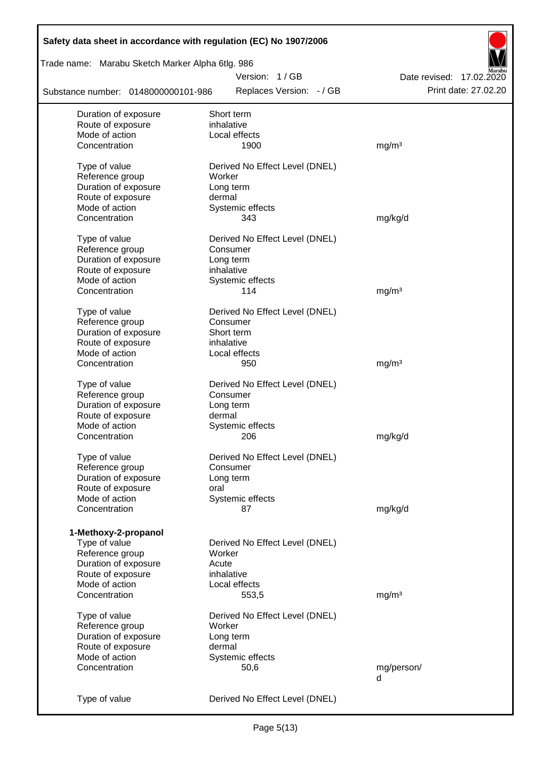| Safety data sheet in accordance with regulation (EC) No 1907/2006 |                                |                          |
|-------------------------------------------------------------------|--------------------------------|--------------------------|
| Trade name: Marabu Sketch Marker Alpha 6tlg. 986                  |                                |                          |
|                                                                   | Version: 1/GB                  | Date revised: 17.02.2020 |
| Substance number: 0148000000101-986                               | Replaces Version: - / GB       | Print date: 27.02.20     |
| Duration of exposure                                              | Short term                     |                          |
| Route of exposure                                                 | inhalative                     |                          |
| Mode of action                                                    | Local effects                  |                          |
| Concentration                                                     | 1900                           | mg/m <sup>3</sup>        |
| Type of value                                                     | Derived No Effect Level (DNEL) |                          |
| Reference group                                                   | Worker                         |                          |
| Duration of exposure                                              | Long term                      |                          |
| Route of exposure                                                 | dermal                         |                          |
| Mode of action                                                    | Systemic effects               |                          |
| Concentration                                                     | 343                            | mg/kg/d                  |
| Type of value                                                     | Derived No Effect Level (DNEL) |                          |
| Reference group                                                   | Consumer                       |                          |
| Duration of exposure                                              | Long term                      |                          |
| Route of exposure                                                 | inhalative                     |                          |
| Mode of action                                                    | Systemic effects               |                          |
| Concentration                                                     | 114                            | mg/m <sup>3</sup>        |
| Type of value                                                     | Derived No Effect Level (DNEL) |                          |
| Reference group                                                   | Consumer                       |                          |
| Duration of exposure                                              | Short term                     |                          |
| Route of exposure                                                 | inhalative                     |                          |
| Mode of action                                                    | Local effects                  |                          |
| Concentration                                                     | 950                            | mg/m <sup>3</sup>        |
| Type of value                                                     | Derived No Effect Level (DNEL) |                          |
| Reference group                                                   | Consumer                       |                          |
| Duration of exposure                                              | Long term                      |                          |
| Route of exposure                                                 | dermal                         |                          |
| Mode of action                                                    | Systemic effects               |                          |
| Concentration                                                     | 206                            | mg/kg/d                  |
| Type of value                                                     | Derived No Effect Level (DNEL) |                          |
| Reference group                                                   | Consumer                       |                          |
| Duration of exposure                                              | Long term                      |                          |
| Route of exposure                                                 | oral                           |                          |
| Mode of action                                                    | Systemic effects               |                          |
| Concentration                                                     | 87                             | mg/kg/d                  |
|                                                                   |                                |                          |
| 1-Methoxy-2-propanol                                              |                                |                          |
| Type of value                                                     | Derived No Effect Level (DNEL) |                          |
| Reference group                                                   | Worker                         |                          |
| Duration of exposure                                              | Acute                          |                          |
| Route of exposure                                                 | inhalative                     |                          |
| Mode of action                                                    | Local effects                  |                          |
| Concentration                                                     | 553,5                          | mg/m <sup>3</sup>        |
| Type of value                                                     | Derived No Effect Level (DNEL) |                          |
| Reference group                                                   | Worker                         |                          |
| Duration of exposure                                              | Long term                      |                          |
| Route of exposure                                                 | dermal                         |                          |
| Mode of action                                                    | Systemic effects               |                          |
| Concentration                                                     | 50,6                           | mg/person/               |
|                                                                   |                                | d                        |
| Type of value                                                     | Derived No Effect Level (DNEL) |                          |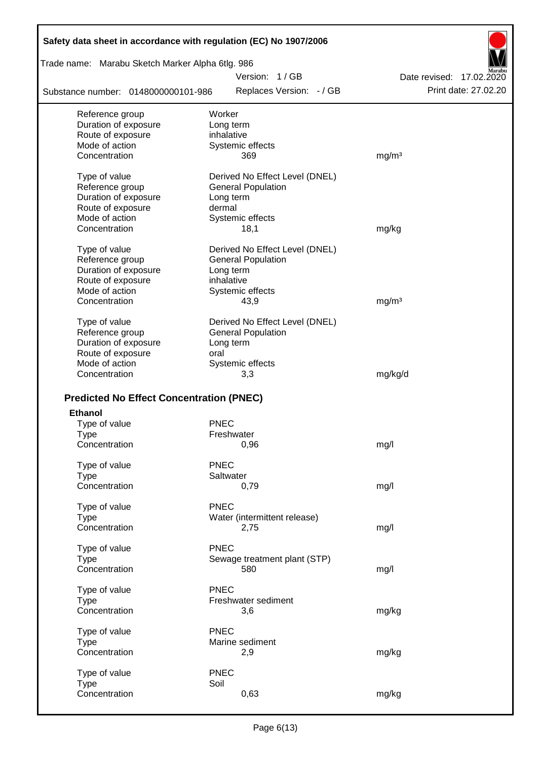| Safety data sheet in accordance with regulation (EC) No 1907/2006 |                                                             |                          |
|-------------------------------------------------------------------|-------------------------------------------------------------|--------------------------|
| Trade name: Marabu Sketch Marker Alpha 6tlg. 986                  |                                                             |                          |
|                                                                   | Version: 1/GB                                               | Date revised: 17.02.2020 |
| Substance number: 0148000000101-986                               | Replaces Version: - / GB                                    | Print date: 27,02.20     |
| Reference group                                                   | Worker                                                      |                          |
| Duration of exposure                                              | Long term                                                   |                          |
| Route of exposure                                                 | inhalative                                                  |                          |
| Mode of action                                                    | Systemic effects                                            |                          |
| Concentration                                                     | 369                                                         | mg/m <sup>3</sup>        |
| Type of value                                                     | Derived No Effect Level (DNEL)                              |                          |
| Reference group                                                   | <b>General Population</b>                                   |                          |
| Duration of exposure                                              | Long term                                                   |                          |
| Route of exposure                                                 | dermal                                                      |                          |
| Mode of action                                                    | Systemic effects                                            |                          |
| Concentration                                                     | 18,1                                                        | mg/kg                    |
| Type of value                                                     | Derived No Effect Level (DNEL)                              |                          |
| Reference group                                                   | <b>General Population</b>                                   |                          |
| Duration of exposure                                              | Long term                                                   |                          |
| Route of exposure                                                 | inhalative                                                  |                          |
| Mode of action                                                    | Systemic effects                                            |                          |
| Concentration                                                     | 43,9                                                        | mg/m <sup>3</sup>        |
|                                                                   |                                                             |                          |
| Type of value<br>Reference group                                  | Derived No Effect Level (DNEL)<br><b>General Population</b> |                          |
| Duration of exposure                                              | Long term                                                   |                          |
| Route of exposure                                                 | oral                                                        |                          |
| Mode of action                                                    | Systemic effects                                            |                          |
| Concentration                                                     | 3,3                                                         | mg/kg/d                  |
|                                                                   |                                                             |                          |
| <b>Predicted No Effect Concentration (PNEC)</b>                   |                                                             |                          |
| <b>Ethanol</b>                                                    |                                                             |                          |
| Type of value                                                     | <b>PNEC</b>                                                 |                          |
| <b>Type</b>                                                       | Freshwater                                                  |                          |
| Concentration                                                     | 0,96                                                        | mg/l                     |
| Type of value                                                     | <b>PNEC</b>                                                 |                          |
| <b>Type</b>                                                       | Saltwater                                                   |                          |
| Concentration                                                     | 0,79                                                        | mg/l                     |
| Type of value                                                     | <b>PNEC</b>                                                 |                          |
| <b>Type</b>                                                       | Water (intermittent release)                                |                          |
| Concentration                                                     | 2,75                                                        | mg/l                     |
|                                                                   |                                                             |                          |
| Type of value                                                     | <b>PNEC</b>                                                 |                          |
| <b>Type</b>                                                       | Sewage treatment plant (STP)                                |                          |
| Concentration                                                     | 580                                                         | mg/l                     |
| Type of value                                                     | <b>PNEC</b>                                                 |                          |
| <b>Type</b>                                                       | Freshwater sediment                                         |                          |
| Concentration                                                     | 3,6                                                         | mg/kg                    |
| Type of value                                                     | <b>PNEC</b>                                                 |                          |
| <b>Type</b>                                                       | Marine sediment                                             |                          |
| Concentration                                                     | 2,9                                                         | mg/kg                    |
|                                                                   |                                                             |                          |
| Type of value                                                     | <b>PNEC</b>                                                 |                          |
| <b>Type</b>                                                       | Soil                                                        |                          |
| Concentration                                                     | 0,63                                                        | mg/kg                    |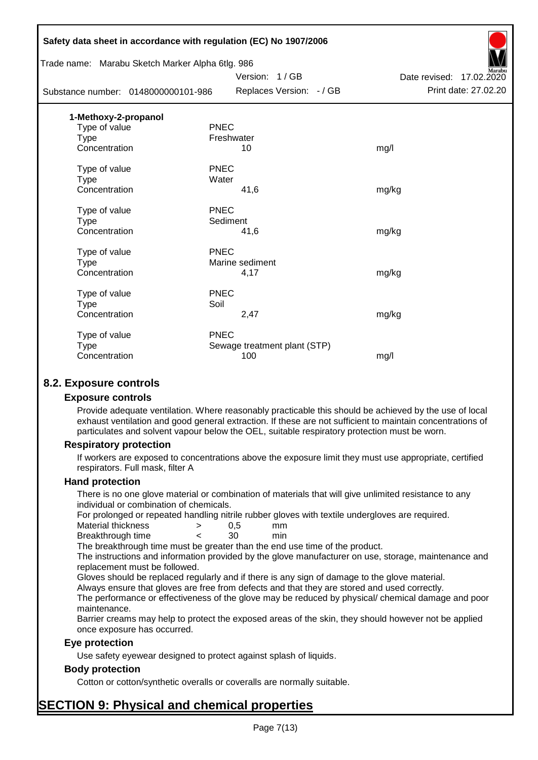|                                     | Safety data sheet in accordance with regulation (EC) No 1907/2006 |                              |                          |
|-------------------------------------|-------------------------------------------------------------------|------------------------------|--------------------------|
|                                     | Trade name: Marabu Sketch Marker Alpha 6tlg. 986                  |                              |                          |
|                                     |                                                                   | Version: 1/GB                | Date revised: 17.02.2020 |
| Substance number: 0148000000101-986 |                                                                   | Replaces Version: - / GB     | Print date: 27.02.20     |
| 1-Methoxy-2-propanol                |                                                                   |                              |                          |
| Type of value                       | <b>PNEC</b>                                                       |                              |                          |
| <b>Type</b>                         | Freshwater                                                        |                              |                          |
| Concentration                       |                                                                   | 10                           | mg/l                     |
| Type of value                       | <b>PNEC</b>                                                       |                              |                          |
| <b>Type</b>                         | Water                                                             |                              |                          |
| Concentration                       |                                                                   | 41,6                         | mg/kg                    |
| Type of value                       | <b>PNEC</b>                                                       |                              |                          |
| <b>Type</b>                         | Sediment                                                          |                              |                          |
| Concentration                       |                                                                   | 41,6                         | mg/kg                    |
| Type of value                       | <b>PNEC</b>                                                       |                              |                          |
| <b>Type</b>                         |                                                                   | Marine sediment              |                          |
| Concentration                       |                                                                   | 4,17                         | mg/kg                    |
| Type of value                       | <b>PNEC</b>                                                       |                              |                          |
| <b>Type</b>                         | Soil                                                              |                              |                          |
| Concentration                       |                                                                   | 2,47                         | mg/kg                    |
| Type of value                       | <b>PNEC</b>                                                       |                              |                          |
| <b>Type</b>                         |                                                                   | Sewage treatment plant (STP) |                          |
| Concentration                       |                                                                   | 100                          | mg/l                     |
|                                     |                                                                   |                              |                          |

# **8.2. Exposure controls**

#### **Exposure controls**

Provide adequate ventilation. Where reasonably practicable this should be achieved by the use of local exhaust ventilation and good general extraction. If these are not sufficient to maintain concentrations of particulates and solvent vapour below the OEL, suitable respiratory protection must be worn.

#### **Respiratory protection**

If workers are exposed to concentrations above the exposure limit they must use appropriate, certified respirators. Full mask, filter A

#### **Hand protection**

There is no one glove material or combination of materials that will give unlimited resistance to any individual or combination of chemicals.

For prolonged or repeated handling nitrile rubber gloves with textile undergloves are required.

| Material thickness | 0.5 | mm  |
|--------------------|-----|-----|
| Breakthrough time  | 30  | min |

The breakthrough time must be greater than the end use time of the product.

The instructions and information provided by the glove manufacturer on use, storage, maintenance and replacement must be followed.

Gloves should be replaced regularly and if there is any sign of damage to the glove material.

Always ensure that gloves are free from defects and that they are stored and used correctly.

The performance or effectiveness of the glove may be reduced by physical/ chemical damage and poor maintenance.

Barrier creams may help to protect the exposed areas of the skin, they should however not be applied once exposure has occurred.

#### **Eye protection**

Use safety eyewear designed to protect against splash of liquids.

## **Body protection**

Cotton or cotton/synthetic overalls or coveralls are normally suitable.

# **SECTION 9: Physical and chemical properties**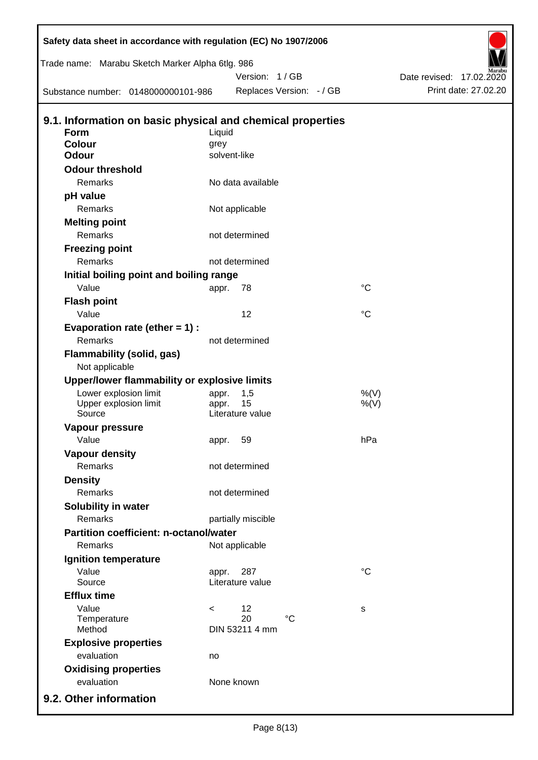| Safety data sheet in accordance with regulation (EC) No 1907/2006 |              |                        |                          |             |                          |
|-------------------------------------------------------------------|--------------|------------------------|--------------------------|-------------|--------------------------|
| Trade name: Marabu Sketch Marker Alpha 6tlg. 986                  |              |                        |                          |             |                          |
|                                                                   |              | Version: 1/GB          |                          |             | Date revised: 17.02.2020 |
| Substance number: 0148000000101-986                               |              |                        | Replaces Version: - / GB |             | Print date: 27.02.20     |
| 9.1. Information on basic physical and chemical properties        |              |                        |                          |             |                          |
| Form                                                              | Liquid       |                        |                          |             |                          |
| <b>Colour</b>                                                     | grey         |                        |                          |             |                          |
| <b>Odour</b>                                                      | solvent-like |                        |                          |             |                          |
| <b>Odour threshold</b>                                            |              |                        |                          |             |                          |
| Remarks                                                           |              | No data available      |                          |             |                          |
| pH value                                                          |              |                        |                          |             |                          |
| Remarks                                                           |              | Not applicable         |                          |             |                          |
| <b>Melting point</b>                                              |              |                        |                          |             |                          |
| Remarks                                                           |              | not determined         |                          |             |                          |
| <b>Freezing point</b>                                             |              |                        |                          |             |                          |
| Remarks                                                           |              | not determined         |                          |             |                          |
| Initial boiling point and boiling range                           |              |                        |                          |             |                          |
| Value                                                             | appr.        | 78                     |                          | $^{\circ}C$ |                          |
| <b>Flash point</b>                                                |              |                        |                          |             |                          |
| Value                                                             |              | 12                     |                          | $^{\circ}C$ |                          |
| Evaporation rate (ether $= 1$ ) :                                 |              |                        |                          |             |                          |
| Remarks                                                           |              | not determined         |                          |             |                          |
| Flammability (solid, gas)<br>Not applicable                       |              |                        |                          |             |                          |
| Upper/lower flammability or explosive limits                      |              |                        |                          |             |                          |
| Lower explosion limit                                             | appr.        | 1,5                    |                          | %(V)        |                          |
| Upper explosion limit<br>Source                                   | appr.        | 15<br>Literature value |                          | $%$ (V)     |                          |
| Vapour pressure                                                   |              |                        |                          |             |                          |
| Value                                                             | appr. 59     |                        |                          | hPa         |                          |
| <b>Vapour density</b>                                             |              |                        |                          |             |                          |
| Remarks                                                           |              | not determined         |                          |             |                          |
| <b>Density</b>                                                    |              |                        |                          |             |                          |
| Remarks                                                           |              | not determined         |                          |             |                          |
| Solubility in water                                               |              |                        |                          |             |                          |
| Remarks                                                           |              | partially miscible     |                          |             |                          |
| <b>Partition coefficient: n-octanol/water</b>                     |              |                        |                          |             |                          |
| Remarks                                                           |              | Not applicable         |                          |             |                          |
| Ignition temperature                                              |              |                        |                          |             |                          |
| Value                                                             | appr.        | 287                    |                          | $^{\circ}C$ |                          |
| Source                                                            |              | Literature value       |                          |             |                          |
| <b>Efflux time</b>                                                |              |                        |                          |             |                          |
| Value                                                             | $\,<\,$      | 12                     |                          | s           |                          |
| Temperature<br>Method                                             |              | 20<br>DIN 53211 4 mm   | $\rm ^{\circ}C$          |             |                          |
| <b>Explosive properties</b>                                       |              |                        |                          |             |                          |
| evaluation                                                        | no           |                        |                          |             |                          |
| <b>Oxidising properties</b>                                       |              |                        |                          |             |                          |
| evaluation                                                        |              | None known             |                          |             |                          |
|                                                                   |              |                        |                          |             |                          |
| 9.2. Other information                                            |              |                        |                          |             |                          |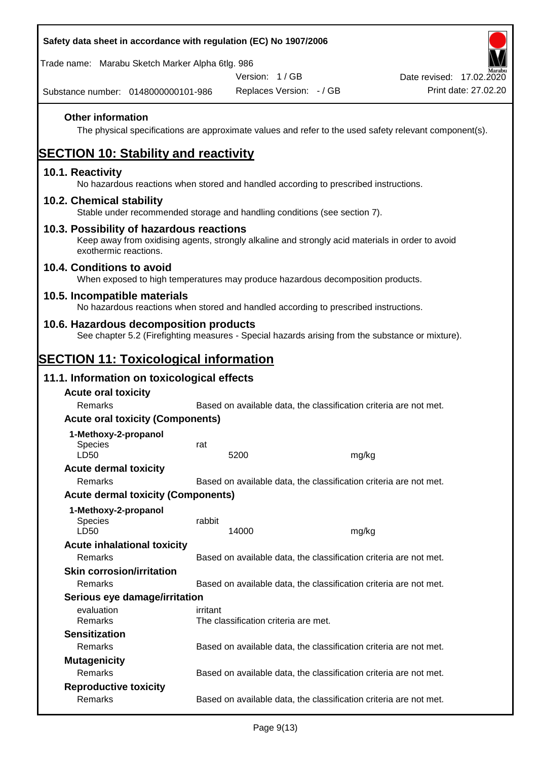| Safety data sheet in accordance with regulation (EC) No 1907/2006                                                                                                     |          |                                      |                                                                   |                                                                                                        |  |
|-----------------------------------------------------------------------------------------------------------------------------------------------------------------------|----------|--------------------------------------|-------------------------------------------------------------------|--------------------------------------------------------------------------------------------------------|--|
| Trade name: Marabu Sketch Marker Alpha 6tlg. 986                                                                                                                      |          |                                      |                                                                   |                                                                                                        |  |
|                                                                                                                                                                       |          | Version: 1/GB                        |                                                                   | Date revised: 17.02.2020                                                                               |  |
| Substance number: 0148000000101-986                                                                                                                                   |          | Replaces Version: - / GB             |                                                                   | Print date: 27.02.20                                                                                   |  |
| <b>Other information</b>                                                                                                                                              |          |                                      |                                                                   | The physical specifications are approximate values and refer to the used safety relevant component(s). |  |
| <b>SECTION 10: Stability and reactivity</b>                                                                                                                           |          |                                      |                                                                   |                                                                                                        |  |
| 10.1. Reactivity<br>No hazardous reactions when stored and handled according to prescribed instructions.                                                              |          |                                      |                                                                   |                                                                                                        |  |
| 10.2. Chemical stability<br>Stable under recommended storage and handling conditions (see section 7).                                                                 |          |                                      |                                                                   |                                                                                                        |  |
| 10.3. Possibility of hazardous reactions<br>Keep away from oxidising agents, strongly alkaline and strongly acid materials in order to avoid<br>exothermic reactions. |          |                                      |                                                                   |                                                                                                        |  |
| 10.4. Conditions to avoid<br>When exposed to high temperatures may produce hazardous decomposition products.                                                          |          |                                      |                                                                   |                                                                                                        |  |
| 10.5. Incompatible materials<br>No hazardous reactions when stored and handled according to prescribed instructions.                                                  |          |                                      |                                                                   |                                                                                                        |  |
| 10.6. Hazardous decomposition products<br>See chapter 5.2 (Firefighting measures - Special hazards arising from the substance or mixture).                            |          |                                      |                                                                   |                                                                                                        |  |
| <b>SECTION 11: Toxicological information</b>                                                                                                                          |          |                                      |                                                                   |                                                                                                        |  |
| 11.1. Information on toxicological effects                                                                                                                            |          |                                      |                                                                   |                                                                                                        |  |
| <b>Acute oral toxicity</b>                                                                                                                                            |          |                                      |                                                                   |                                                                                                        |  |
| Remarks                                                                                                                                                               |          |                                      | Based on available data, the classification criteria are not met. |                                                                                                        |  |
| <b>Acute oral toxicity (Components)</b>                                                                                                                               |          |                                      |                                                                   |                                                                                                        |  |
| 1-Methoxy-2-propanol                                                                                                                                                  |          |                                      |                                                                   |                                                                                                        |  |
| <b>Species</b><br>LD50                                                                                                                                                | rat      | 5200                                 | mg/kg                                                             |                                                                                                        |  |
| <b>Acute dermal toxicity</b>                                                                                                                                          |          |                                      |                                                                   |                                                                                                        |  |
| Remarks                                                                                                                                                               |          |                                      | Based on available data, the classification criteria are not met. |                                                                                                        |  |
| <b>Acute dermal toxicity (Components)</b>                                                                                                                             |          |                                      |                                                                   |                                                                                                        |  |
| 1-Methoxy-2-propanol<br>Species<br>LD50                                                                                                                               | rabbit   | 14000                                | mg/kg                                                             |                                                                                                        |  |
| <b>Acute inhalational toxicity</b>                                                                                                                                    |          |                                      |                                                                   |                                                                                                        |  |
| Remarks                                                                                                                                                               |          |                                      | Based on available data, the classification criteria are not met. |                                                                                                        |  |
| <b>Skin corrosion/irritation</b>                                                                                                                                      |          |                                      |                                                                   |                                                                                                        |  |
| Remarks                                                                                                                                                               |          |                                      | Based on available data, the classification criteria are not met. |                                                                                                        |  |
| Serious eye damage/irritation                                                                                                                                         |          |                                      |                                                                   |                                                                                                        |  |
| evaluation<br>Remarks                                                                                                                                                 | irritant | The classification criteria are met. |                                                                   |                                                                                                        |  |
| <b>Sensitization</b>                                                                                                                                                  |          |                                      |                                                                   |                                                                                                        |  |
| Remarks                                                                                                                                                               |          |                                      | Based on available data, the classification criteria are not met. |                                                                                                        |  |
| <b>Mutagenicity</b>                                                                                                                                                   |          |                                      |                                                                   |                                                                                                        |  |
| Remarks                                                                                                                                                               |          |                                      | Based on available data, the classification criteria are not met. |                                                                                                        |  |
| <b>Reproductive toxicity</b><br>Remarks                                                                                                                               |          |                                      | Based on available data, the classification criteria are not met. |                                                                                                        |  |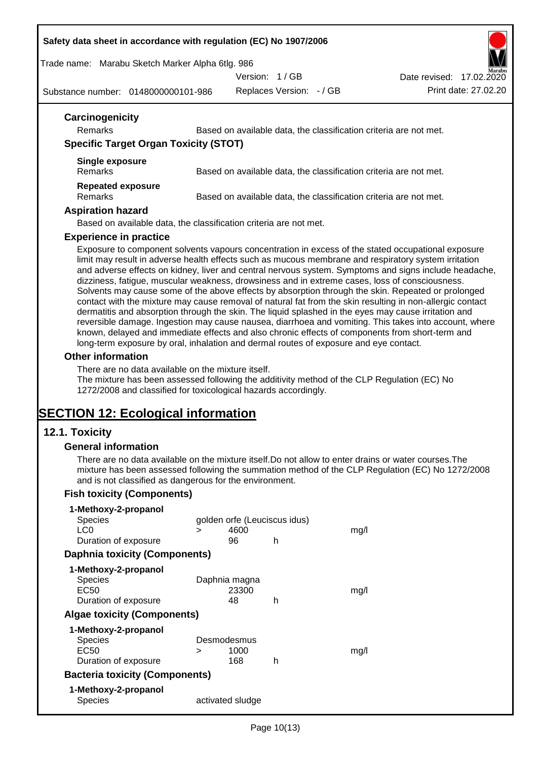#### **Safety data sheet in accordance with regulation (EC) No 1907/2006**

Trade name: Marabu Sketch Marker Alpha 6tlg. 986

Version: 1 / GB



Substance number: 0148000000101-986

Replaces Version: - / GB Print date: 27.02.20

| Carcinogenicity<br><b>Remarks</b>            | Based on available data, the classification criteria are not met. |
|----------------------------------------------|-------------------------------------------------------------------|
| <b>Specific Target Organ Toxicity (STOT)</b> |                                                                   |
| <b>Single exposure</b>                       |                                                                   |
| <b>Remarks</b>                               | Based on available data, the classification criteria are not met. |
| <b>Repeated exposure</b>                     |                                                                   |
| <b>Remarks</b>                               | Based on available data, the classification criteria are not met. |
| <b>Aspiration hazard</b>                     |                                                                   |
|                                              | Based on available data, the classification criteria are not met. |

#### **Experience in practice**

Exposure to component solvents vapours concentration in excess of the stated occupational exposure limit may result in adverse health effects such as mucous membrane and respiratory system irritation and adverse effects on kidney, liver and central nervous system. Symptoms and signs include headache, dizziness, fatigue, muscular weakness, drowsiness and in extreme cases, loss of consciousness. Solvents may cause some of the above effects by absorption through the skin. Repeated or prolonged contact with the mixture may cause removal of natural fat from the skin resulting in non-allergic contact dermatitis and absorption through the skin. The liquid splashed in the eyes may cause irritation and reversible damage. Ingestion may cause nausea, diarrhoea and vomiting. This takes into account, where known, delayed and immediate effects and also chronic effects of components from short-term and long-term exposure by oral, inhalation and dermal routes of exposure and eye contact.

#### **Other information**

There are no data available on the mixture itself.

The mixture has been assessed following the additivity method of the CLP Regulation (EC) No 1272/2008 and classified for toxicological hazards accordingly.

# **SECTION 12: Ecological information**

## **12.1. Toxicity**

#### **General information**

There are no data available on the mixture itself.Do not allow to enter drains or water courses.The mixture has been assessed following the summation method of the CLP Regulation (EC) No 1272/2008 and is not classified as dangerous for the environment.

## **Fish toxicity (Components)**

| 1-Methoxy-2-propanol                  |   |                              |   |      |
|---------------------------------------|---|------------------------------|---|------|
| <b>Species</b>                        |   | golden orfe (Leuciscus idus) |   |      |
| LC <sub>0</sub>                       | ⋗ | 4600                         |   | mq/l |
| Duration of exposure                  |   | 96                           | h |      |
| <b>Daphnia toxicity (Components)</b>  |   |                              |   |      |
| 1-Methoxy-2-propanol                  |   |                              |   |      |
| <b>Species</b>                        |   | Daphnia magna                |   |      |
| EC50                                  |   | 23300                        |   | mq/l |
| Duration of exposure                  |   | 48                           | h |      |
| <b>Algae toxicity (Components)</b>    |   |                              |   |      |
| 1-Methoxy-2-propanol                  |   |                              |   |      |
| <b>Species</b>                        |   | Desmodesmus                  |   |      |
| EC50                                  | ⋗ | 1000                         |   | mq/l |
| Duration of exposure                  |   | 168                          | h |      |
| <b>Bacteria toxicity (Components)</b> |   |                              |   |      |
| 1-Methoxy-2-propanol                  |   |                              |   |      |
| Species                               |   | activated sludge             |   |      |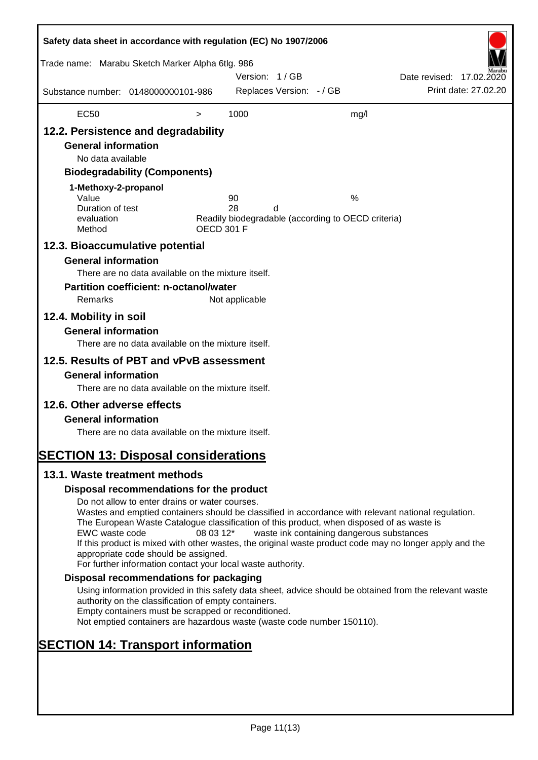| Safety data sheet in accordance with regulation (EC) No 1907/2006                                                                                                                                                                    |                                                                                                                                                                                                                                                                                                                                                                                                                                                                      |                   |                |                          |                                                         |                          |                      |
|--------------------------------------------------------------------------------------------------------------------------------------------------------------------------------------------------------------------------------------|----------------------------------------------------------------------------------------------------------------------------------------------------------------------------------------------------------------------------------------------------------------------------------------------------------------------------------------------------------------------------------------------------------------------------------------------------------------------|-------------------|----------------|--------------------------|---------------------------------------------------------|--------------------------|----------------------|
| Trade name: Marabu Sketch Marker Alpha 6tlg. 986                                                                                                                                                                                     |                                                                                                                                                                                                                                                                                                                                                                                                                                                                      |                   | Version: 1/GB  |                          |                                                         | Date revised: 17.02.2020 |                      |
| Substance number: 0148000000101-986                                                                                                                                                                                                  |                                                                                                                                                                                                                                                                                                                                                                                                                                                                      |                   |                | Replaces Version: - / GB |                                                         |                          | Print date: 27,02.20 |
| <b>EC50</b>                                                                                                                                                                                                                          |                                                                                                                                                                                                                                                                                                                                                                                                                                                                      | $\,>$             | 1000           |                          | mg/l                                                    |                          |                      |
| 12.2. Persistence and degradability<br><b>General information</b><br>No data available<br>1-Methoxy-2-propanol<br>Value<br>Duration of test<br>evaluation<br>Method<br>12.3. Bioaccumulative potential<br><b>General information</b> | <b>Biodegradability (Components)</b><br>There are no data available on the mixture itself.                                                                                                                                                                                                                                                                                                                                                                           | <b>OECD 301 F</b> | 90<br>28       | d                        | %<br>Readily biodegradable (according to OECD criteria) |                          |                      |
| Remarks<br>12.4. Mobility in soil<br><b>General information</b>                                                                                                                                                                      | <b>Partition coefficient: n-octanol/water</b><br>There are no data available on the mixture itself.                                                                                                                                                                                                                                                                                                                                                                  |                   | Not applicable |                          |                                                         |                          |                      |
| 12.5. Results of PBT and vPvB assessment<br><b>General information</b><br>12.6. Other adverse effects<br><b>General information</b><br><b>SECTION 13: Disposal considerations</b>                                                    | There are no data available on the mixture itself.<br>There are no data available on the mixture itself.                                                                                                                                                                                                                                                                                                                                                             |                   |                |                          |                                                         |                          |                      |
| 13.1. Waste treatment methods                                                                                                                                                                                                        |                                                                                                                                                                                                                                                                                                                                                                                                                                                                      |                   |                |                          |                                                         |                          |                      |
|                                                                                                                                                                                                                                      | Disposal recommendations for the product                                                                                                                                                                                                                                                                                                                                                                                                                             |                   |                |                          |                                                         |                          |                      |
| EWC waste code                                                                                                                                                                                                                       | Do not allow to enter drains or water courses.<br>Wastes and emptied containers should be classified in accordance with relevant national regulation.<br>The European Waste Catalogue classification of this product, when disposed of as waste is<br>If this product is mixed with other wastes, the original waste product code may no longer apply and the<br>appropriate code should be assigned.<br>For further information contact your local waste authority. | 08 03 12*         |                |                          | waste ink containing dangerous substances               |                          |                      |
|                                                                                                                                                                                                                                      | Disposal recommendations for packaging                                                                                                                                                                                                                                                                                                                                                                                                                               |                   |                |                          |                                                         |                          |                      |
|                                                                                                                                                                                                                                      | Using information provided in this safety data sheet, advice should be obtained from the relevant waste<br>authority on the classification of empty containers.<br>Empty containers must be scrapped or reconditioned.<br>Not emptied containers are hazardous waste (waste code number 150110).                                                                                                                                                                     |                   |                |                          |                                                         |                          |                      |
| <b>SECTION 14: Transport information</b>                                                                                                                                                                                             |                                                                                                                                                                                                                                                                                                                                                                                                                                                                      |                   |                |                          |                                                         |                          |                      |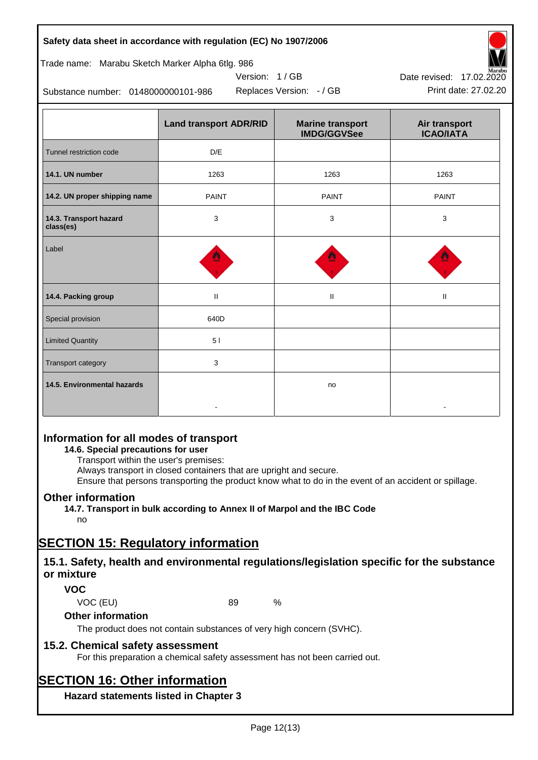| Page 12(13) |  |
|-------------|--|
|             |  |

#### **Safety data sheet in accordance with regulation (EC) No 1907/2006**

#### Trade name: Marabu Sketch Marker Alpha 6tlg. 986

Substance number: 0148000000101-986

|                                     | <b>Land transport ADR/RID</b> | <b>Marine transport</b><br><b>IMDG/GGVSee</b> | Air transport<br><b>ICAO/IATA</b> |  |
|-------------------------------------|-------------------------------|-----------------------------------------------|-----------------------------------|--|
| Tunnel restriction code             | D/E                           |                                               |                                   |  |
| 14.1. UN number                     | 1263                          | 1263                                          | 1263                              |  |
| 14.2. UN proper shipping name       | <b>PAINT</b><br><b>PAINT</b>  |                                               | <b>PAINT</b>                      |  |
| 14.3. Transport hazard<br>class(es) | 3<br>3<br>3                   |                                               |                                   |  |
| Label                               |                               |                                               |                                   |  |
| 14.4. Packing group                 | $\mathbf{H}$                  | $\mathbf{H}$                                  | Ш                                 |  |
| Special provision                   | 640D                          |                                               |                                   |  |
| <b>Limited Quantity</b>             | 51                            |                                               |                                   |  |
| Transport category                  | 3                             |                                               |                                   |  |
| 14.5. Environmental hazards         |                               | no                                            |                                   |  |

Version: 1 / GB

# **Information for all modes of transport**

# **14.6. Special precautions for user**

Transport within the user's premises:

Always transport in closed containers that are upright and secure.

Ensure that persons transporting the product know what to do in the event of an accident or spillage.

# **Other information**

**14.7. Transport in bulk according to Annex II of Marpol and the IBC Code**

# no

# **SECTION 15: Regulatory information**

# **15.1. Safety, health and environmental regulations/legislation specific for the substance or mixture**

# **VOC**

VOC (EU) 89 %

## **Other information**

The product does not contain substances of very high concern (SVHC).

# **15.2. Chemical safety assessment**

For this preparation a chemical safety assessment has not been carried out.

# **SECTION 16: Other information**

**Hazard statements listed in Chapter 3**



Replaces Version: - / GB Print date: 27.02.20 Date revised: 17.02.2020